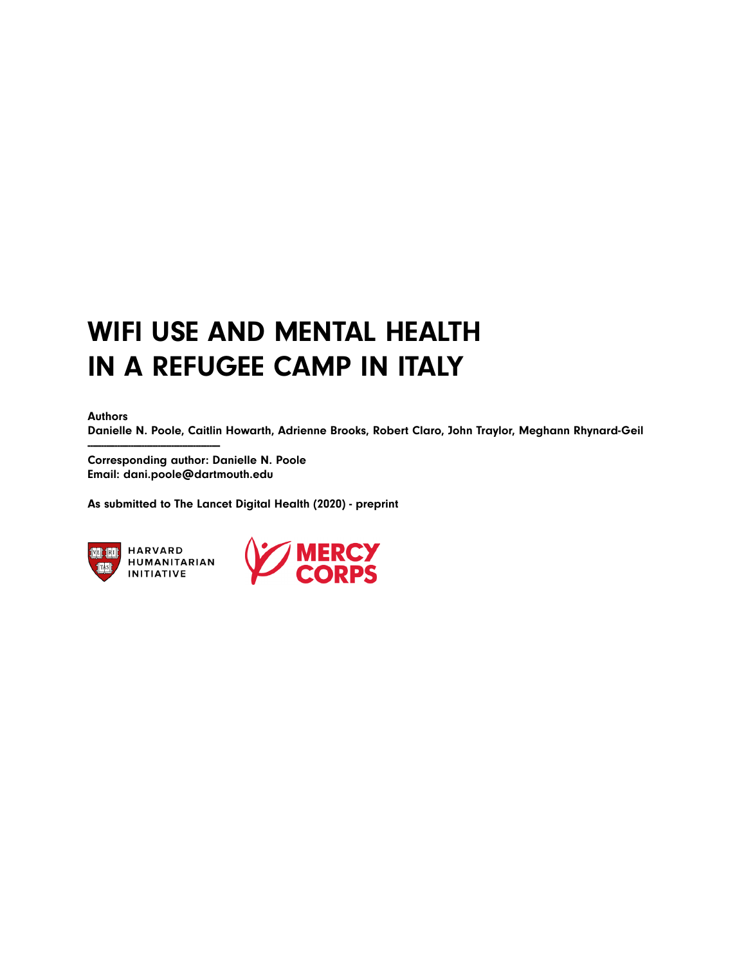# WIFI USE AND MENTAL HEALTH IN A REFUGEE CAMP IN ITALY

Authors

Danielle N. Poole, Caitlin Howarth, Adrienne Brooks, Robert Claro, John Traylor, Meghann Rhynard-Geil

Corresponding author: Danielle N. Poole Email: dani.poole@dartmouth.edu

As submitted to The Lancet Digital Health (2020) - preprint



**HARVARD** HUMANITARIAN **INITIATIVE** 

-------------------------------------------------

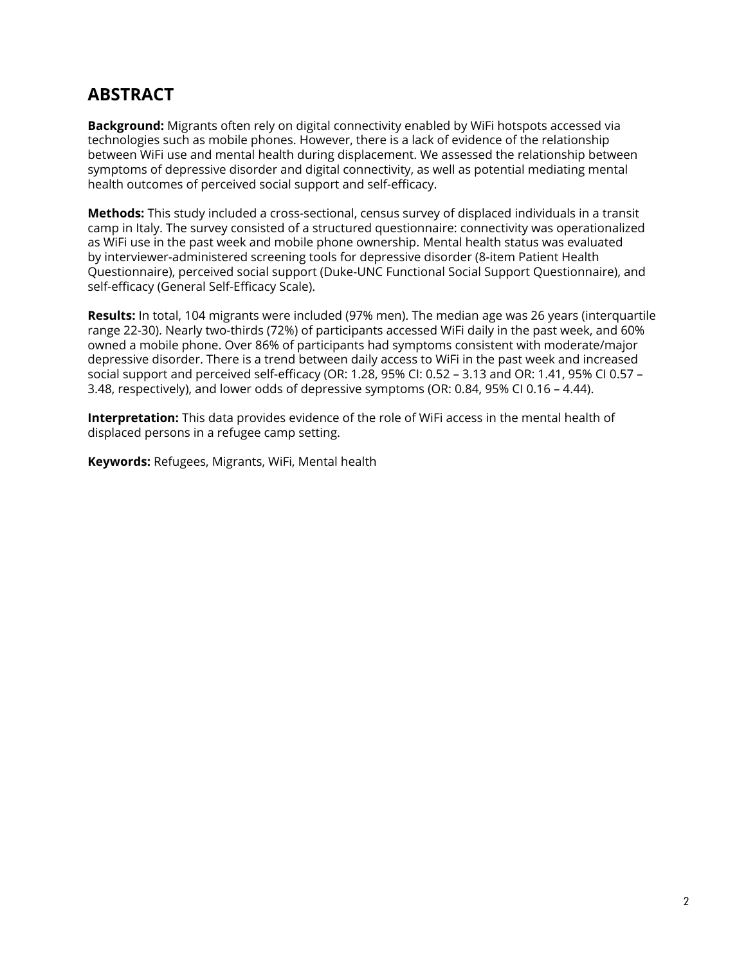# **ABSTRACT**

**Background:** Migrants often rely on digital connectivity enabled by WiFi hotspots accessed via technologies such as mobile phones. However, there is a lack of evidence of the relationship between WiFi use and mental health during displacement. We assessed the relationship between symptoms of depressive disorder and digital connectivity, as well as potential mediating mental health outcomes of perceived social support and self-efficacy.

**Methods:** This study included a cross-sectional, census survey of displaced individuals in a transit camp in Italy. The survey consisted of a structured questionnaire: connectivity was operationalized as WiFi use in the past week and mobile phone ownership. Mental health status was evaluated by interviewer-administered screening tools for depressive disorder (8-item Patient Health Questionnaire), perceived social support (Duke-UNC Functional Social Support Questionnaire), and self-efficacy (General Self-Efficacy Scale).

**Results:** In total, 104 migrants were included (97% men). The median age was 26 years (interquartile range 22-30). Nearly two-thirds (72%) of participants accessed WiFi daily in the past week, and 60% owned a mobile phone. Over 86% of participants had symptoms consistent with moderate/major depressive disorder. There is a trend between daily access to WiFi in the past week and increased social support and perceived self-efficacy (OR: 1.28, 95% CI: 0.52 – 3.13 and OR: 1.41, 95% CI 0.57 – 3.48, respectively), and lower odds of depressive symptoms (OR: 0.84, 95% CI 0.16 – 4.44).

**Interpretation:** This data provides evidence of the role of WiFi access in the mental health of displaced persons in a refugee camp setting.

**Keywords:** Refugees, Migrants, WiFi, Mental health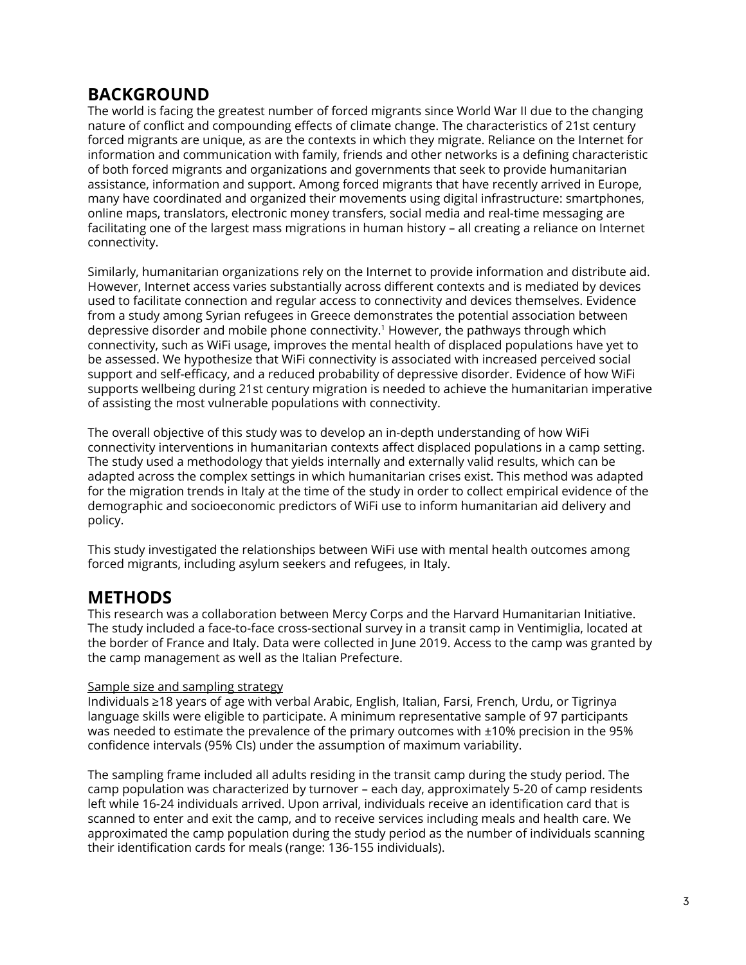## **BACKGROUND**

The world is facing the greatest number of forced migrants since World War II due to the changing nature of conflict and compounding effects of climate change. The characteristics of 21st century forced migrants are unique, as are the contexts in which they migrate. Reliance on the Internet for information and communication with family, friends and other networks is a defining characteristic of both forced migrants and organizations and governments that seek to provide humanitarian assistance, information and support. Among forced migrants that have recently arrived in Europe, many have coordinated and organized their movements using digital infrastructure: smartphones, online maps, translators, electronic money transfers, social media and real-time messaging are facilitating one of the largest mass migrations in human history – all creating a reliance on Internet connectivity.

Similarly, humanitarian organizations rely on the Internet to provide information and distribute aid. However, Internet access varies substantially across different contexts and is mediated by devices used to facilitate connection and regular access to connectivity and devices themselves. Evidence from a study among Syrian refugees in Greece demonstrates the potential association between depressive disorder and mobile phone connectivity.1 However, the pathways through which connectivity, such as WiFi usage, improves the mental health of displaced populations have yet to be assessed. We hypothesize that WiFi connectivity is associated with increased perceived social support and self-efficacy, and a reduced probability of depressive disorder. Evidence of how WiFi supports wellbeing during 21st century migration is needed to achieve the humanitarian imperative of assisting the most vulnerable populations with connectivity.

The overall objective of this study was to develop an in-depth understanding of how WiFi connectivity interventions in humanitarian contexts affect displaced populations in a camp setting. The study used a methodology that yields internally and externally valid results, which can be adapted across the complex settings in which humanitarian crises exist. This method was adapted for the migration trends in Italy at the time of the study in order to collect empirical evidence of the demographic and socioeconomic predictors of WiFi use to inform humanitarian aid delivery and policy.

This study investigated the relationships between WiFi use with mental health outcomes among forced migrants, including asylum seekers and refugees, in Italy.

### **METHODS**

This research was a collaboration between Mercy Corps and the Harvard Humanitarian Initiative. The study included a face-to-face cross-sectional survey in a transit camp in Ventimiglia, located at the border of France and Italy. Data were collected in June 2019. Access to the camp was granted by the camp management as well as the Italian Prefecture.

#### Sample size and sampling strategy

Individuals ≥18 years of age with verbal Arabic, English, Italian, Farsi, French, Urdu, or Tigrinya language skills were eligible to participate. A minimum representative sample of 97 participants was needed to estimate the prevalence of the primary outcomes with ±10% precision in the 95% confidence intervals (95% CIs) under the assumption of maximum variability.

The sampling frame included all adults residing in the transit camp during the study period. The camp population was characterized by turnover – each day, approximately 5-20 of camp residents left while 16-24 individuals arrived. Upon arrival, individuals receive an identification card that is scanned to enter and exit the camp, and to receive services including meals and health care. We approximated the camp population during the study period as the number of individuals scanning their identification cards for meals (range: 136-155 individuals).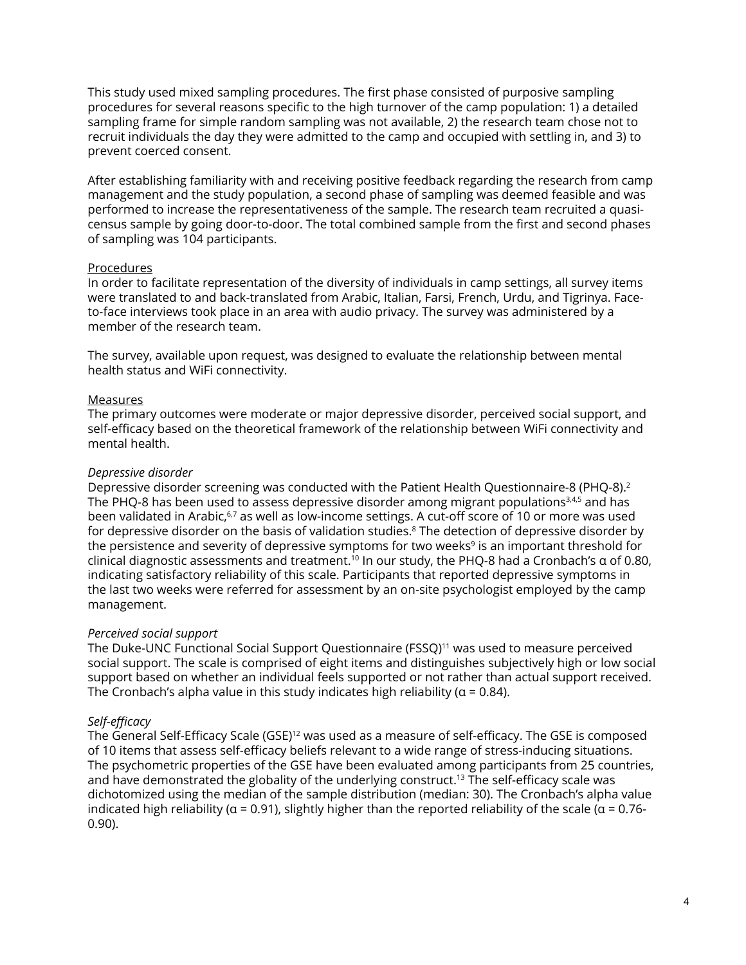This study used mixed sampling procedures. The first phase consisted of purposive sampling procedures for several reasons specific to the high turnover of the camp population: 1) a detailed sampling frame for simple random sampling was not available, 2) the research team chose not to recruit individuals the day they were admitted to the camp and occupied with settling in, and 3) to prevent coerced consent.

After establishing familiarity with and receiving positive feedback regarding the research from camp management and the study population, a second phase of sampling was deemed feasible and was performed to increase the representativeness of the sample. The research team recruited a quasicensus sample by going door-to-door. The total combined sample from the first and second phases of sampling was 104 participants.

#### Procedures

In order to facilitate representation of the diversity of individuals in camp settings, all survey items were translated to and back-translated from Arabic, Italian, Farsi, French, Urdu, and Tigrinya. Faceto-face interviews took place in an area with audio privacy. The survey was administered by a member of the research team.

The survey, available upon request, was designed to evaluate the relationship between mental health status and WiFi connectivity.

#### Measures

The primary outcomes were moderate or major depressive disorder, perceived social support, and self-efficacy based on the theoretical framework of the relationship between WiFi connectivity and mental health.

#### *Depressive disorder*

Depressive disorder screening was conducted with the Patient Health Questionnaire-8 (PHQ-8).2 The PHQ-8 has been used to assess depressive disorder among migrant populations<sup>3,4,5</sup> and has been validated in Arabic,<sup>6,7</sup> as well as low-income settings. A cut-off score of 10 or more was used for depressive disorder on the basis of validation studies.<sup>8</sup> The detection of depressive disorder by the persistence and severity of depressive symptoms for two weeks<sup>9</sup> is an important threshold for clinical diagnostic assessments and treatment.10 In our study, the PHQ-8 had a Cronbach's α of 0.80, indicating satisfactory reliability of this scale. Participants that reported depressive symptoms in the last two weeks were referred for assessment by an on-site psychologist employed by the camp management.

#### *Perceived social support*

The Duke-UNC Functional Social Support Questionnaire (FSSQ)11 was used to measure perceived social support. The scale is comprised of eight items and distinguishes subjectively high or low social support based on whether an individual feels supported or not rather than actual support received. The Cronbach's alpha value in this study indicates high reliability ( $\alpha$  = 0.84).

#### *Self-efficacy*

The General Self-Efficacy Scale (GSE)<sup>12</sup> was used as a measure of self-efficacy. The GSE is composed of 10 items that assess self-efficacy beliefs relevant to a wide range of stress-inducing situations. The psychometric properties of the GSE have been evaluated among participants from 25 countries, and have demonstrated the globality of the underlying construct.13 The self-efficacy scale was dichotomized using the median of the sample distribution (median: 30). The Cronbach's alpha value indicated high reliability ( $\alpha$  = 0.91), slightly higher than the reported reliability of the scale ( $\alpha$  = 0.76-0.90).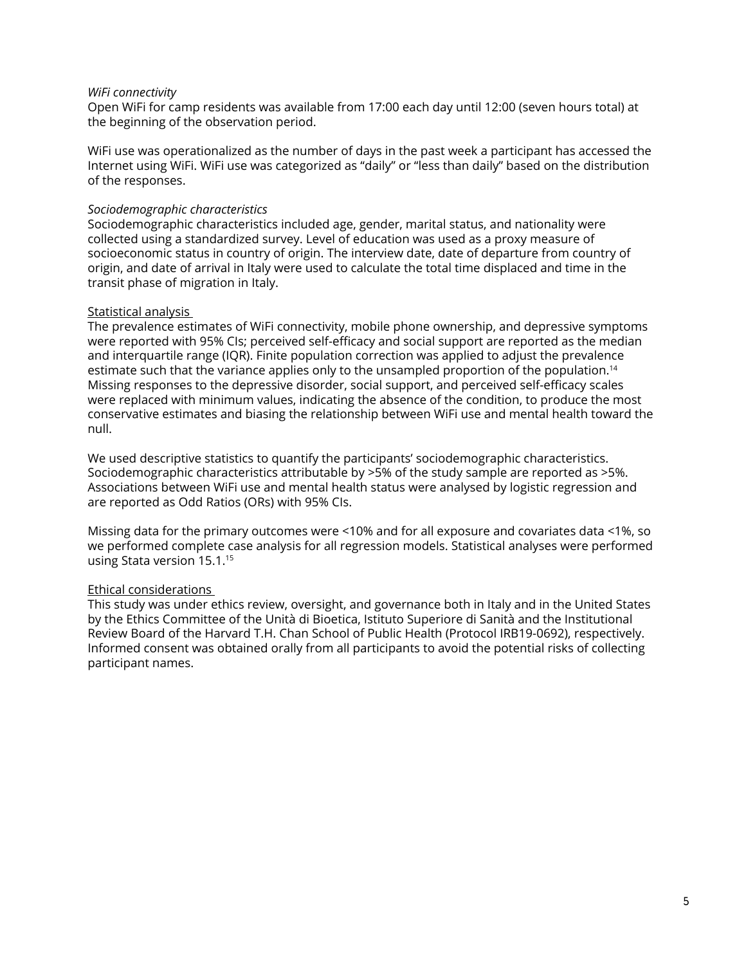#### *WiFi connectivity*

Open WiFi for camp residents was available from 17:00 each day until 12:00 (seven hours total) at the beginning of the observation period.

WiFi use was operationalized as the number of days in the past week a participant has accessed the Internet using WiFi. WiFi use was categorized as "daily" or "less than daily" based on the distribution of the responses.

#### *Sociodemographic characteristics*

Sociodemographic characteristics included age, gender, marital status, and nationality were collected using a standardized survey. Level of education was used as a proxy measure of socioeconomic status in country of origin. The interview date, date of departure from country of origin, and date of arrival in Italy were used to calculate the total time displaced and time in the transit phase of migration in Italy.

#### Statistical analysis

The prevalence estimates of WiFi connectivity, mobile phone ownership, and depressive symptoms were reported with 95% CIs; perceived self-efficacy and social support are reported as the median and interquartile range (IQR). Finite population correction was applied to adjust the prevalence estimate such that the variance applies only to the unsampled proportion of the population.<sup>14</sup> Missing responses to the depressive disorder, social support, and perceived self-efficacy scales were replaced with minimum values, indicating the absence of the condition, to produce the most conservative estimates and biasing the relationship between WiFi use and mental health toward the null.

We used descriptive statistics to quantify the participants' sociodemographic characteristics. Sociodemographic characteristics attributable by >5% of the study sample are reported as >5%. Associations between WiFi use and mental health status were analysed by logistic regression and are reported as Odd Ratios (ORs) with 95% CIs.

Missing data for the primary outcomes were <10% and for all exposure and covariates data <1%, so we performed complete case analysis for all regression models. Statistical analyses were performed using Stata version 15.1.15

#### Ethical considerations

This study was under ethics review, oversight, and governance both in Italy and in the United States by the Ethics Committee of the Unità di Bioetica, Istituto Superiore di Sanità and the Institutional Review Board of the Harvard T.H. Chan School of Public Health (Protocol IRB19-0692), respectively. Informed consent was obtained orally from all participants to avoid the potential risks of collecting participant names.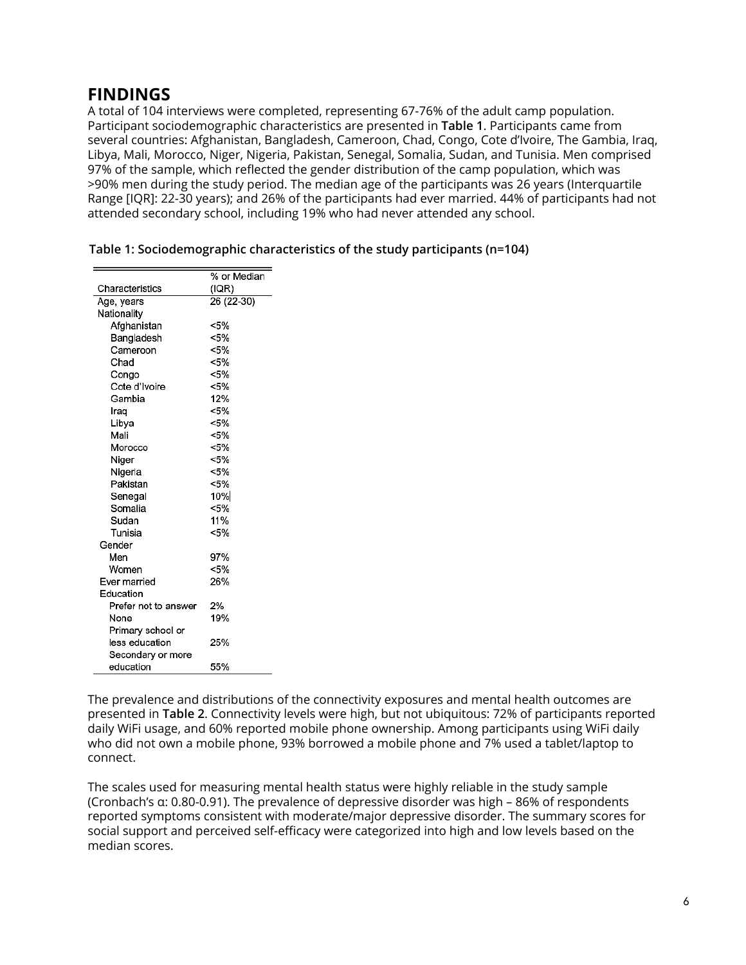## **FINDINGS**

A total of 104 interviews were completed, representing 67-76% of the adult camp population. Participant sociodemographic characteristics are presented in **Table 1**. Participants came from several countries: Afghanistan, Bangladesh, Cameroon, Chad, Congo, Cote d'Ivoire, The Gambia, Iraq, Libya, Mali, Morocco, Niger, Nigeria, Pakistan, Senegal, Somalia, Sudan, and Tunisia. Men comprised 97% of the sample, which reflected the gender distribution of the camp population, which was >90% men during the study period. The median age of the participants was 26 years (Interquartile Range [IQR]: 22-30 years); and 26% of the participants had ever married. 44% of participants had not attended secondary school, including 19% who had never attended any school.

|                      | % or Median |
|----------------------|-------------|
| Characteristics      | (IQR)       |
| Age, years           | 26 (22-30)  |
| Nationality          |             |
| Afghanistan          | $< 5\%$     |
| Bangladesh           | $< 5\%$     |
| Cameroon             | < 5%        |
| Chad                 | <5%         |
| Congo                | $< 5\%$     |
| Cote d'Ivoire        | $< 5\%$     |
| Gambia               | 12%         |
| Iraq                 | $< 5\%$     |
| Libva                | $< 5\%$     |
| Mali                 | < 5%        |
| Morocco              | $< 5\%$     |
| Niger                | < 5%        |
| Nigeria              | <5%         |
| Pakistan             | $< 5\%$     |
| Senegal              | 10%         |
| Somalia              | < 5%        |
| Sudan                | 11%         |
| Tunisia              | < 5%        |
| Gender               |             |
| Men                  | 97%         |
| Women                | $< 5\%$     |
| Ever married         | 26%         |
| Education            |             |
| Prefer not to answer | 2%          |
| None                 | 19%         |
| Primary school or    |             |
| less education       | 25%         |
| Secondary or more    |             |
| education            | 55%         |

| Table 1: Sociodemographic characteristics of the study participants (n=104) |  |  |  |
|-----------------------------------------------------------------------------|--|--|--|
|-----------------------------------------------------------------------------|--|--|--|

The prevalence and distributions of the connectivity exposures and mental health outcomes are presented in **Table 2**. Connectivity levels were high, but not ubiquitous: 72% of participants reported daily WiFi usage, and 60% reported mobile phone ownership. Among participants using WiFi daily who did not own a mobile phone, 93% borrowed a mobile phone and 7% used a tablet/laptop to connect.

The scales used for measuring mental health status were highly reliable in the study sample (Cronbach's α: 0.80-0.91). The prevalence of depressive disorder was high – 86% of respondents reported symptoms consistent with moderate/major depressive disorder. The summary scores for social support and perceived self-efficacy were categorized into high and low levels based on the median scores.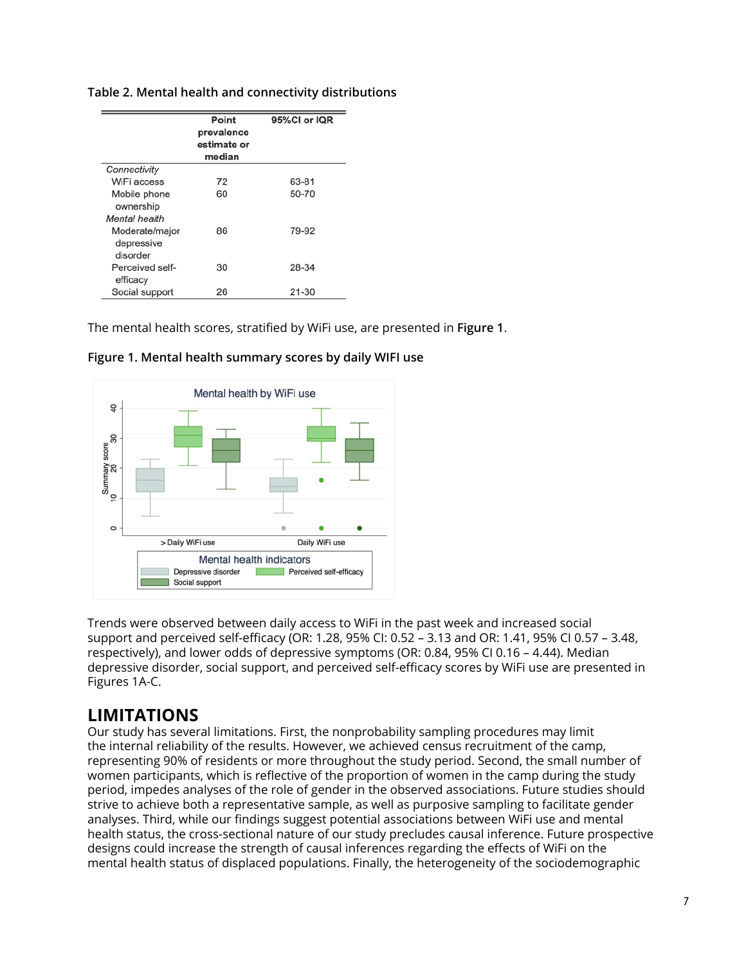|  |  | Table 2. Mental health and connectivity distributions |
|--|--|-------------------------------------------------------|
|  |  |                                                       |

|                                          | Point<br>prevalence<br>estimate or<br>median | 95%CI or IQR |
|------------------------------------------|----------------------------------------------|--------------|
| Connectivity                             |                                              |              |
| WiFi access                              | 72                                           | 63-81        |
| Mobile phone<br>ownership                | 60                                           | 50-70        |
| Mental health                            |                                              |              |
| Moderate/major<br>depressive<br>disorder | 86                                           | 79-92        |
| Perceived self-<br>efficacy              | 30                                           | 28-34        |
| Social support                           | 26                                           | $21 - 30$    |

The mental health scores, stratified by WiFi use, are presented in **Figure 1**.



**Figure 1. Mental health summary scores by daily WIFI use** 

Trends were observed between daily access to WiFi in the past week and increased social support and perceived self-efficacy (OR: 1.28, 95% CI: 0.52 – 3.13 and OR: 1.41, 95% CI 0.57 – 3.48, respectively), and lower odds of depressive symptoms (OR: 0.84, 95% CI 0.16 – 4.44). Median depressive disorder, social support, and perceived self-efficacy scores by WiFi use are presented in Figures 1A-C.

# **LIMITATIONS**

Our study has several limitations. First, the nonprobability sampling procedures may limit the internal reliability of the results. However, we achieved census recruitment of the camp, representing 90% of residents or more throughout the study period. Second, the small number of women participants, which is reflective of the proportion of women in the camp during the study period, impedes analyses of the role of gender in the observed associations. Future studies should strive to achieve both a representative sample, as well as purposive sampling to facilitate gender analyses. Third, while our findings suggest potential associations between WiFi use and mental health status, the cross-sectional nature of our study precludes causal inference. Future prospective designs could increase the strength of causal inferences regarding the effects of WiFi on the mental health status of displaced populations. Finally, the heterogeneity of the sociodemographic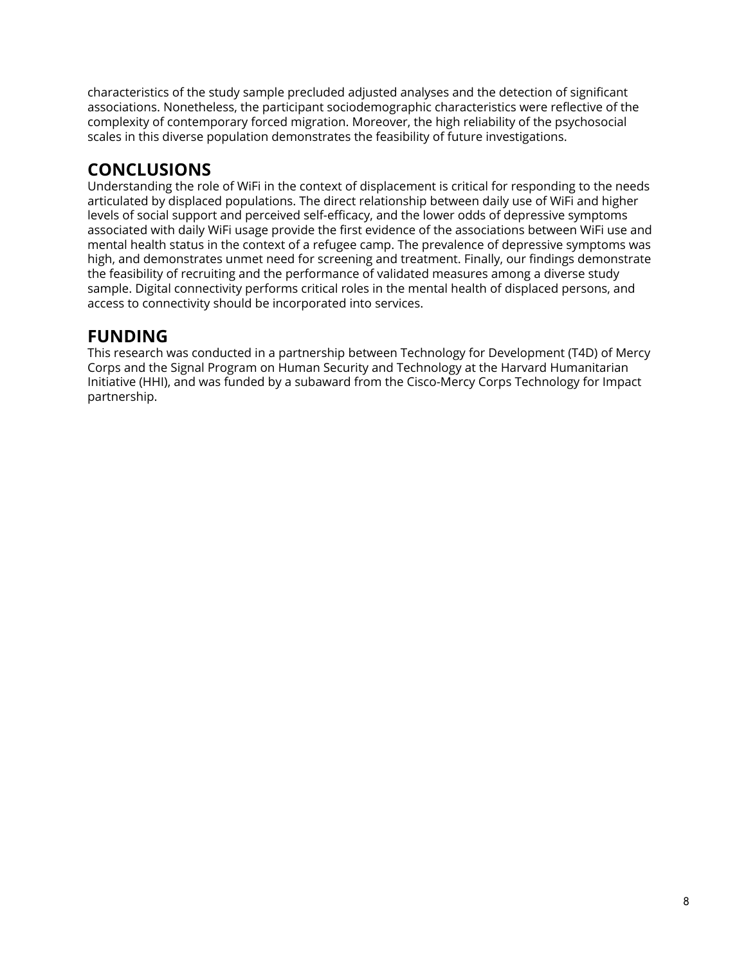characteristics of the study sample precluded adjusted analyses and the detection of significant associations. Nonetheless, the participant sociodemographic characteristics were reflective of the complexity of contemporary forced migration. Moreover, the high reliability of the psychosocial scales in this diverse population demonstrates the feasibility of future investigations.

# **CONCLUSIONS**

Understanding the role of WiFi in the context of displacement is critical for responding to the needs articulated by displaced populations. The direct relationship between daily use of WiFi and higher levels of social support and perceived self-efficacy, and the lower odds of depressive symptoms associated with daily WiFi usage provide the first evidence of the associations between WiFi use and mental health status in the context of a refugee camp. The prevalence of depressive symptoms was high, and demonstrates unmet need for screening and treatment. Finally, our findings demonstrate the feasibility of recruiting and the performance of validated measures among a diverse study sample. Digital connectivity performs critical roles in the mental health of displaced persons, and access to connectivity should be incorporated into services.

# **FUNDING**

This research was conducted in a partnership between Technology for Development (T4D) of Mercy Corps and the Signal Program on Human Security and Technology at the Harvard Humanitarian Initiative (HHI), and was funded by a subaward from the Cisco-Mercy Corps Technology for Impact partnership.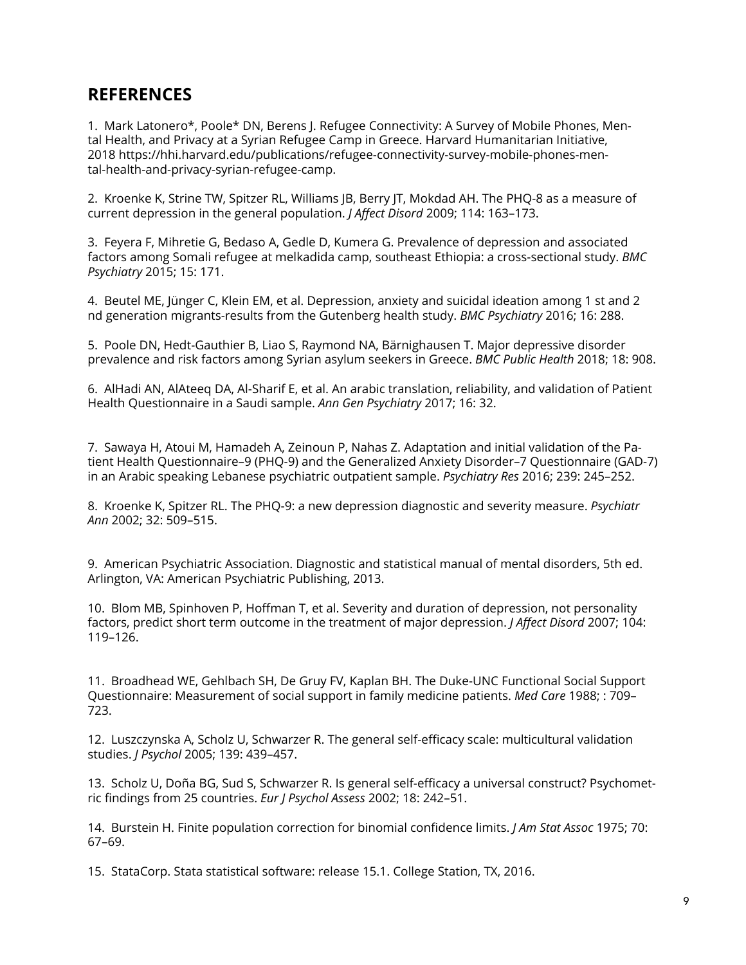### **REFERENCES**

1. Mark Latonero\*, Poole\* DN, Berens J. Refugee Connectivity: A Survey of Mobile Phones, Mental Health, and Privacy at a Syrian Refugee Camp in Greece. Harvard Humanitarian Initiative, 2018 https://hhi.harvard.edu/publications/refugee-connectivity-survey-mobile-phones-mental-health-and-privacy-syrian-refugee-camp.

2. Kroenke K, Strine TW, Spitzer RL, Williams JB, Berry JT, Mokdad AH. The PHQ-8 as a measure of current depression in the general population. *J Affect Disord* 2009; 114: 163–173.

3. Feyera F, Mihretie G, Bedaso A, Gedle D, Kumera G. Prevalence of depression and associated factors among Somali refugee at melkadida camp, southeast Ethiopia: a cross-sectional study. *BMC Psychiatry* 2015; 15: 171.

4. Beutel ME, Jünger C, Klein EM, et al. Depression, anxiety and suicidal ideation among 1 st and 2 nd generation migrants-results from the Gutenberg health study. *BMC Psychiatry* 2016; 16: 288.

5. Poole DN, Hedt-Gauthier B, Liao S, Raymond NA, Bärnighausen T. Major depressive disorder prevalence and risk factors among Syrian asylum seekers in Greece. *BMC Public Health* 2018; 18: 908.

6. AlHadi AN, AlAteeq DA, Al-Sharif E, et al. An arabic translation, reliability, and validation of Patient Health Questionnaire in a Saudi sample. *Ann Gen Psychiatry* 2017; 16: 32.

7. Sawaya H, Atoui M, Hamadeh A, Zeinoun P, Nahas Z. Adaptation and initial validation of the Patient Health Questionnaire–9 (PHQ-9) and the Generalized Anxiety Disorder–7 Questionnaire (GAD-7) in an Arabic speaking Lebanese psychiatric outpatient sample. *Psychiatry Res* 2016; 239: 245–252.

8. Kroenke K, Spitzer RL. The PHQ-9: a new depression diagnostic and severity measure. *Psychiatr Ann* 2002; 32: 509–515.

9. American Psychiatric Association. Diagnostic and statistical manual of mental disorders, 5th ed. Arlington, VA: American Psychiatric Publishing, 2013.

10. Blom MB, Spinhoven P, Hoffman T, et al. Severity and duration of depression, not personality factors, predict short term outcome in the treatment of major depression. *J Affect Disord* 2007; 104: 119–126.

11. Broadhead WE, Gehlbach SH, De Gruy FV, Kaplan BH. The Duke-UNC Functional Social Support Questionnaire: Measurement of social support in family medicine patients. *Med Care* 1988; : 709– 723.

12. Luszczynska A, Scholz U, Schwarzer R. The general self-efficacy scale: multicultural validation studies. *J Psychol* 2005; 139: 439–457.

13. Scholz U, Doña BG, Sud S, Schwarzer R. Is general self-efficacy a universal construct? Psychometric findings from 25 countries. *Eur J Psychol Assess* 2002; 18: 242–51.

14. Burstein H. Finite population correction for binomial confidence limits. *J Am Stat Assoc* 1975; 70: 67–69.

15. StataCorp. Stata statistical software: release 15.1. College Station, TX, 2016.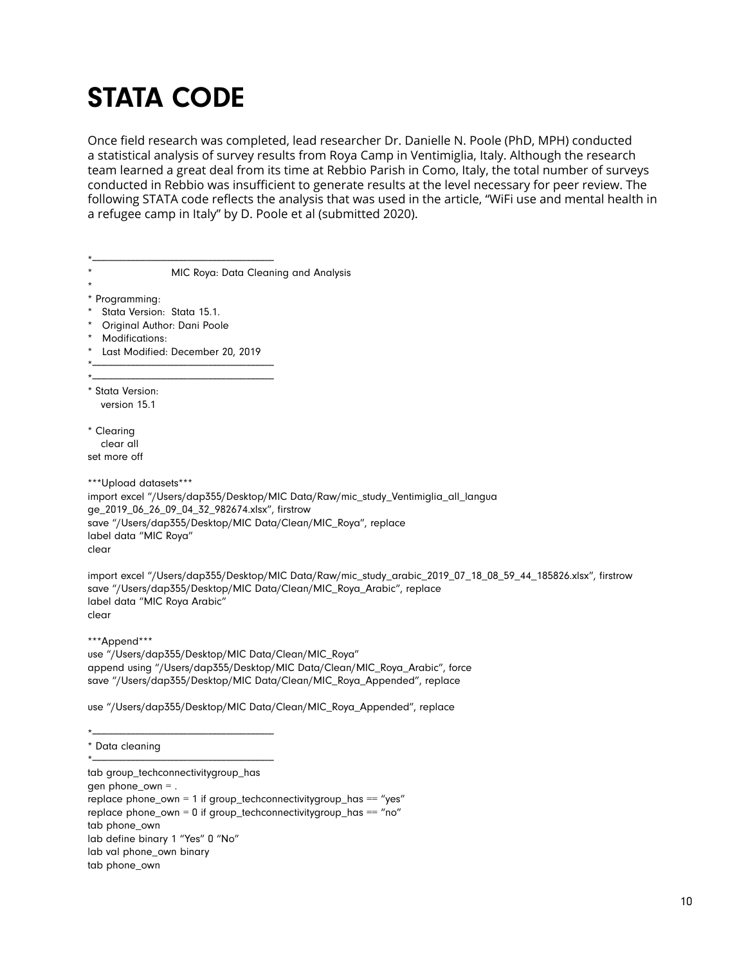# STATA CODE

Once field research was completed, lead researcher Dr. Danielle N. Poole (PhD, MPH) conducted a statistical analysis of survey results from Roya Camp in Ventimiglia, Italy. Although the research team learned a great deal from its time at Rebbio Parish in Como, Italy, the total number of surveys conducted in Rebbio was insufficient to generate results at the level necessary for peer review. The following STATA code reflects the analysis that was used in the article, "WiFi use and mental health in a refugee camp in Italy" by D. Poole et al (submitted 2020).

| MIC Roya: Data Cleaning and Analysis                                                                                                                                                                                                                           |
|----------------------------------------------------------------------------------------------------------------------------------------------------------------------------------------------------------------------------------------------------------------|
| * Programming:<br>Stata Version: Stata 15.1.<br>$\star$<br>Original Author: Dani Poole<br>$\star$<br>Modifications:<br>$\star$<br>Last Modified: December 20, 2019                                                                                             |
|                                                                                                                                                                                                                                                                |
|                                                                                                                                                                                                                                                                |
| * Stata Version:<br>version 15.1                                                                                                                                                                                                                               |
| * Clearing<br>clear all<br>set more off                                                                                                                                                                                                                        |
| ***Upload datasets***<br>import excel "/Users/dap355/Desktop/MIC Data/Raw/mic_study_Ventimiglia_all_langua<br>ge_2019_06_26_09_04_32_982674.xlsx", firstrow<br>save "/Users/dap355/Desktop/MIC Data/Clean/MIC_Roya", replace<br>label data "MIC Roya"<br>clear |
| import excel "/Users/dap355/Desktop/MIC Data/Raw/mic_study_arabic_2019_07_18_08_59_44_185826.xlsx", firstrow<br>save "/Users/dap355/Desktop/MIC Data/Clean/MIC_Roya_Arabic", replace<br>label data "MIC Roya Arabic"<br>clear                                  |
| ***Append***<br>use "/Users/dap355/Desktop/MIC Data/Clean/MIC_Roya"<br>append using "/Users/dap355/Desktop/MIC Data/Clean/MIC_Roya_Arabic", force<br>save "/Users/dap355/Desktop/MIC Data/Clean/MIC_Roya_Appended", replace                                    |
| use "/Users/dap355/Desktop/MIC Data/Clean/MIC_Roya_Appended", replace                                                                                                                                                                                          |
| * Data cleaning                                                                                                                                                                                                                                                |
|                                                                                                                                                                                                                                                                |
| tab group_techconnectivitygroup_has<br>gen phone_own = .                                                                                                                                                                                                       |

 $r =$  replace phone\_own = 1 if group\_techconnectivitygroup\_has == "yes" replace phone\_own =  $0$  if group\_techconnectivitygroup\_has == "no" tab phone\_own lab define binary 1 "Yes" 0 "No" lab val phone\_own binary tab phone\_own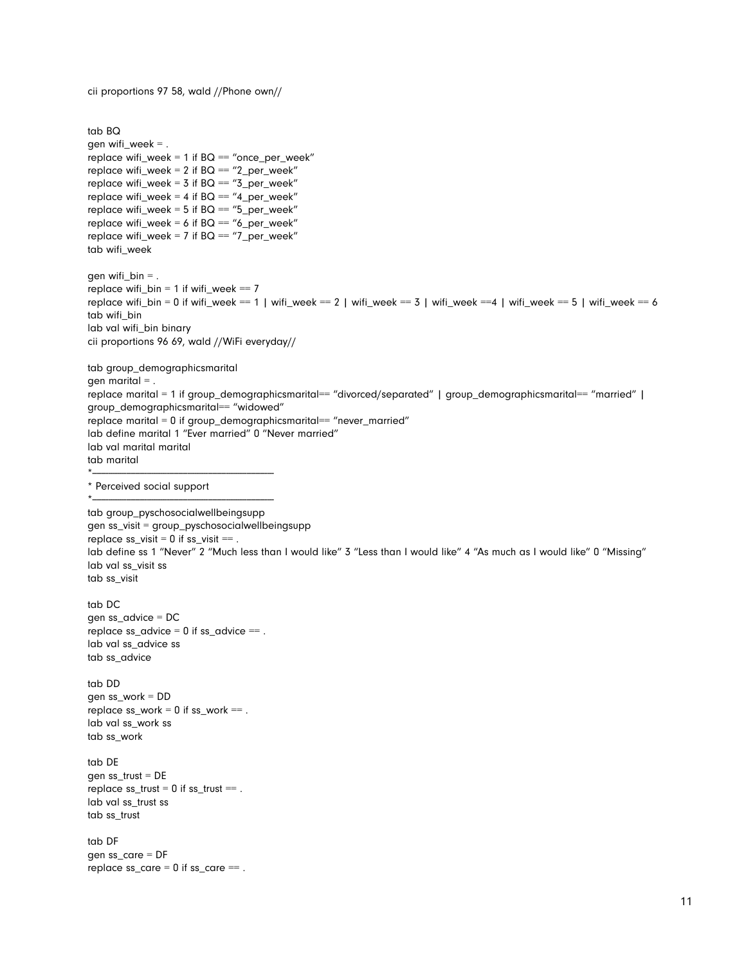cii proportions 97 58, wald //Phone own//

```
tab BQ 
gen wifi_week = .
replace wifi_week = 1 if BQ = "once_per_week"
replace wifi_week = 2 if BQ = 2 per_week"
replace wifi_week = 3 if BQ == "3_per_week"
replace wifi_week = 4 if BQ = "4_per_week"
replace wifi_week = 5 if BQ == "5_per_week"
replace wifi_week = 6 if BQ = "6\_per\_week"replace wifi_week = 7 if BQ == "7_per_week"
tab wifi_week 
gen wifi_bin = .
replace wifi_bin = 1 if wifi_week == 7replace wifi_bin = 0 if wifi_week == 1 | wifi_week == 2 | wifi_week == 3 | wifi_week ==4 | wifi_week == 5 | wifi_week == 6 
tab wifi_bin 
lab val wifi_bin binary 
cii proportions 96 69, wald //WiFi everyday// 
tab group_demographicsmarital 
gen marital = .
replace marital = 1 if group_demographicsmarital== "divorced/separated" | group_demographicsmarital== "married" | 
group_demographicsmarital== "widowed" 
replace marital = 0 if group_demographicsmarital== "never_married" 
lab define marital 1 "Ever married" 0 "Never married" 
lab val marital marital 
tab marital 
*-------------------------------------------------------------------------------- 
* Perceived social support 
*-------------------------------------------------------------------------------- 
tab group_pyschosocialwellbeingsupp 
gen ss_visit = group_pyschosocialwellbeingsupp 
replace ss\_visit = 0 if ss\_visit ==.
lab define ss 1 "Never" 2 "Much less than I would like" 3 "Less than I would like" 4 "As much as I would like" 0 "Missing" 
lab val ss_visit ss
tab ss_visit 
tab DC 
gen ss_advice = DC 
replace ss\_advice = 0 if ss\_advice ==.
lab val ss_advice ss 
tab ss_advice 
tab DD 
gen ss_work = DD 
replace ss_work = 0 if ss_work ==.
lab val ss_work ss 
tab ss_work 
tab DE 
gen ss_trust = DE 
replace ss\_trust = 0 if ss\_trust ==.
lab val ss_trust ss 
tab ss_trust 
tab DF 
gen ss_care = DF 
replace ss\_care = 0 if ss\_care ==.
```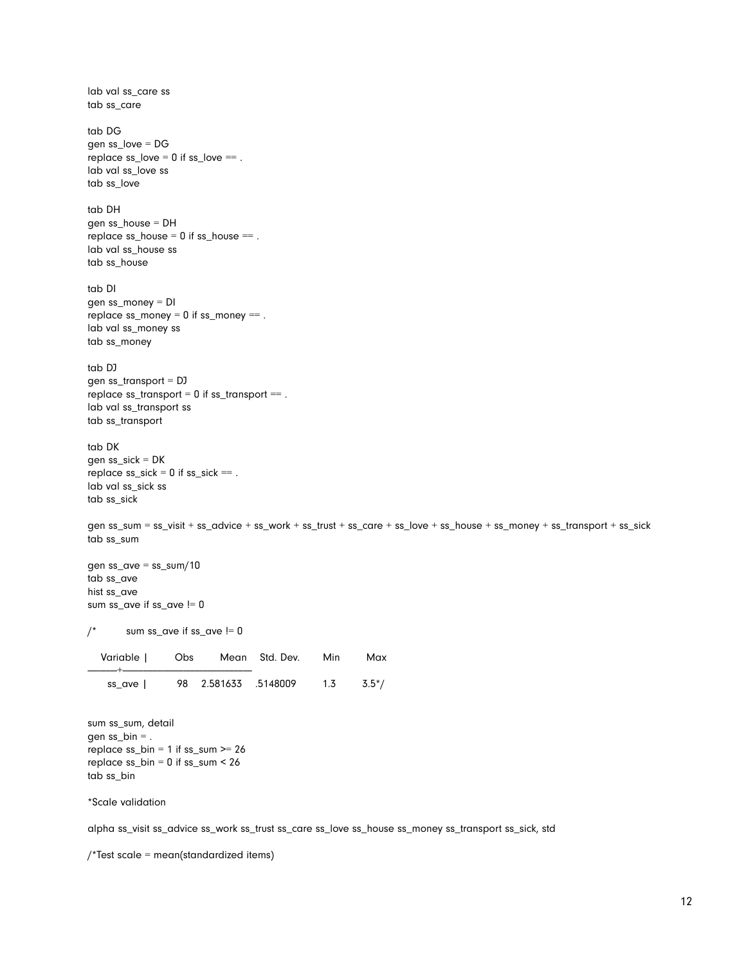lab val ss\_care ss tab ss\_care tab DG gen ss\_love = DG replace  $ss\_love = 0$  if  $ss\_love ==$ . lab val ss\_love ss tab ss\_love tab DH gen ss\_house = DH replace  $ss\_house = 0$  if  $ss\_house ==$ . lab val ss\_house ss tab ss\_house tab DI gen ss\_money = DI replace  $ss\_money = 0$  if  $ss\_money ==$ . lab val ss\_money ss tab ss\_money tab DJ gen ss\_transport = DJ replace ss\_transport = 0 if ss\_transport == . lab val ss\_transport ss tab ss\_transport tab DK gen ss\_sick = DK replace  $ss\_sick = 0$  if  $ss\_sick ==$ . lab val ss\_sick ss tab ss\_sick gen ss\_sum = ss\_visit + ss\_advice + ss\_work + ss\_trust + ss\_care + ss\_love + ss\_house + ss\_money + ss\_transport + ss\_sick tab ss\_sum gen ss\_ave = ss\_sum/10 tab ss\_ave hist ss\_ave sum ss\_ave if ss\_ave != 0  $\prime^*$  sum ss\_ave if ss\_ave != 0 Variable | Obs Mean Std. Dev. Min Max -------------+-------------------------------------------------------- ss\_ave | 98 2.581633 .5148009 1.3 3.5\*/ sum ss\_sum, detail

gen ss\_bin = . replace  $ss\_bin = 1$  if  $ss\_sum \ge 26$ replace  $ss\_bin = 0$  if  $ss\_sum < 26$ tab ss\_bin

\*Scale validation

alpha ss\_visit ss\_advice ss\_work ss\_trust ss\_care ss\_love ss\_house ss\_money ss\_transport ss\_sick, std

/\*Test scale = mean(standardized items)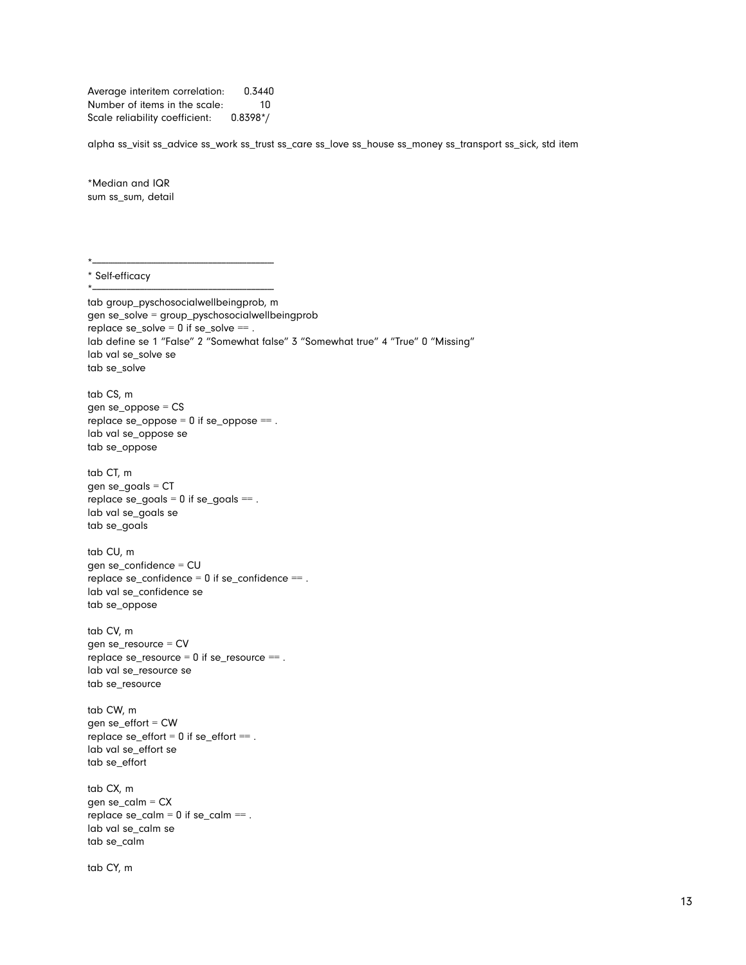Average interitem correlation: 0.3440 Number of items in the scale: 10 Scale reliability coefficient: 0.8398\*/

alpha ss\_visit ss\_advice ss\_work ss\_trust ss\_care ss\_love ss\_house ss\_money ss\_transport ss\_sick, std item

\*Median and IQR sum ss\_sum, detail

\*-------------------------------------------------------------------------------- \* Self-efficacy

\*------------------------------------------------------------------------------- tab group\_pyschosocialwellbeingprob, m gen se\_solve = group\_pyschosocialwellbeingprob replace  $se\_solve = 0$  if  $se\_solve ==$ . lab define se 1 "False" 2 "Somewhat false" 3 "Somewhat true" 4 "True" 0 "Missing" lab val se\_solve se tab se\_solve tab CS, m gen se\_oppose = CS replace  $se\_oppose = 0$  if  $se\_oppose ==$ . lab val se\_oppose se tab se\_oppose tab CT, m gen se\_goals = CT  $replace$   $se\_goals = 0$  if  $se\_goals ==$ . lab val se\_goals se tab se\_goals tab CU, m gen se\_confidence = CU replace se\_confidence =  $0$  if se\_confidence == . lab val se\_confidence se tab se\_oppose tab CV, m gen se\_resource = CV replace se\_resource = 0 if se\_resource == . lab val se\_resource se tab se\_resource tab CW, m gen se\_effort = CW replace  $se_{\text{eff}}$  = 0 if  $se_{\text{eff}}$  == . lab val se\_effort se tab se\_effort tab CX, m gen se\_calm = CX replace  $se\_calm = 0$  if  $se\_calm ==$ . lab val se\_calm se tab se\_calm

tab CY, m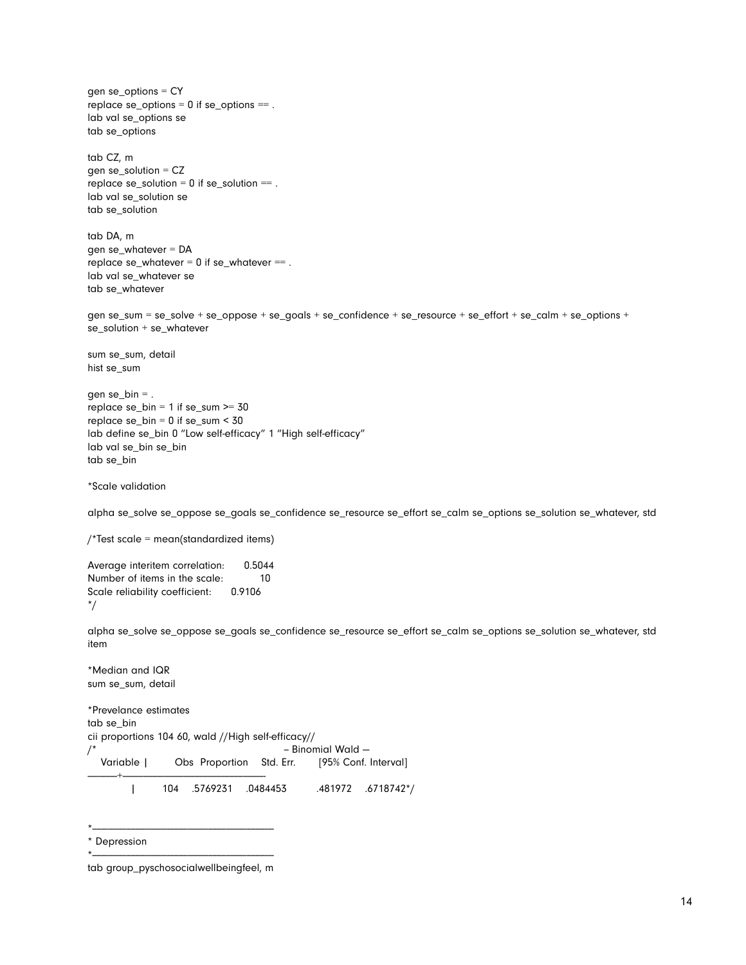gen se\_options = CY replace  $se\_options = 0$  if  $se\_options ==$ . lab val se\_options se tab se\_options tab CZ, m gen se $s$ olution = CZ replace  $se\_solution = 0$  if  $se\_solution ==$ . lab val se\_solution se tab se\_solution tab DA, m gen se\_whatever = DA replace  $se_{\text{w}}$  whatever = 0 if  $se_{\text{w}}$  whatever == . lab val se\_whatever se tab se\_whatever gen se\_sum = se\_solve + se\_oppose + se\_goals + se\_confidence + se\_resource + se\_effort + se\_calm + se\_options + se\_solution + se\_whatever sum se\_sum, detail hist se\_sum gen se\_bin  $=$  . replace se\_bin = 1 if se\_sum >= 30 replace se\_bin = 0 if se\_sum < 30 lab define se\_bin 0 "Low self-efficacy" 1 "High self-efficacy" lab val se\_bin se\_bin tab se\_bin \*Scale validation alpha se\_solve se\_oppose se\_goals se\_confidence se\_resource se\_effort se\_calm se\_options se\_solution se\_whatever, std /\*Test scale = mean(standardized items) Average interitem correlation: 0.5044 Number of items in the scale: 10 Scale reliability coefficient: 0.9106 \*/ alpha se\_solve se\_oppose se\_goals se\_confidence se\_resource se\_effort se\_calm se\_options se\_solution se\_whatever, std item \*Median and IQR

\*Prevelance estimates tab se\_bin cii proportions 104 60, wald //High self-efficacy// /\* -- Binomial Wald --- Variable | Obs Proportion Std. Err. [95% Conf. Interval] -------------+--------------------------------------------------------------- | 104 .5769231 .0484453 .481972 .6718742\*/

\* Depression

sum se\_sum, detail

\*--------------------------------------------------------------------------------

<sup>\*-------------------------------------------------------------------------------</sup>  tab group\_pyschosocialwellbeingfeel, m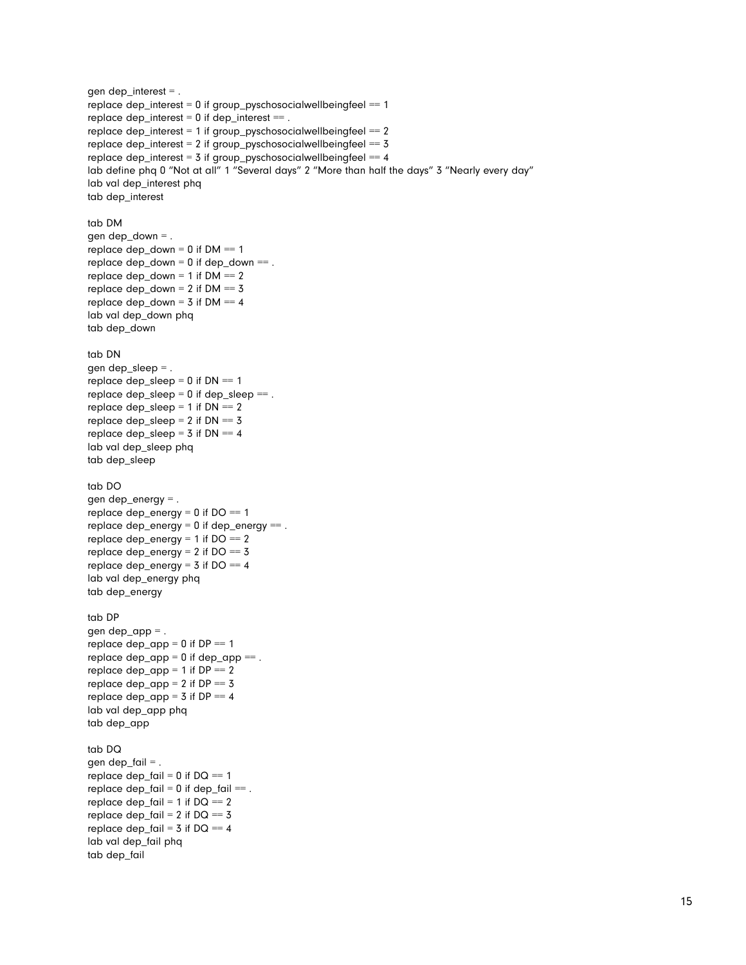gen dep\_interest = . replace dep\_interest = 0 if group\_pyschosocialwellbeingfeel == 1 replace dep\_interest =  $0$  if dep\_interest == . replace dep\_interest = 1 if group\_pyschosocialwellbeingfeel == 2 replace dep\_interest =  $2$  if group\_pyschosocialwellbeingfeel ==  $3$ replace dep\_interest =  $3$  if group\_pyschosocialwellbeingfeel ==  $4$ lab define phq 0 "Not at all" 1 "Several days" 2 "More than half the days" 3 "Nearly every day" lab val dep\_interest phq tab dep\_interest tab DM gen dep\_down = . replace dep\_down =  $0$  if DM =  $1$ replace  $dep\_down = 0$  if dep\_down == . replace  $dep\_down = 1$  if  $DM == 2$ replace dep\_down =  $2$  if DM =  $3$ replace dep\_down =  $3$  if DM ==  $4$ lab val dep\_down phq tab dep\_down tab DN gen dep\_sleep = . replace dep\_sleep =  $0$  if  $DN == 1$ replace dep\_sleep =  $0$  if dep\_sleep == . replace dep\_sleep = 1 if DN == 2 replace dep\_sleep =  $2$  if  $DN == 3$ replace dep\_sleep =  $3$  if DN ==  $4$ lab val dep\_sleep phq tab dep\_sleep tab DO gen dep energy  $=$  . replace dep\_energy =  $0$  if  $DO == 1$ replace dep\_energy = 0 if dep\_energy == . replace dep\_energy =  $1$  if  $DO == 2$ replace dep\_energy = 2 if  $DO == 3$ replace dep\_energy =  $3$  if DO =  $4$ lab val dep\_energy phq tab dep\_energy tab DP gen dep\_app = . replace dep\_app =  $0$  if DP =  $1$ replace  $dep_{app} = 0$  if  $dep_{app} = 0$ . replace  $dep_{app} = 1$  if  $DP = 2$ replace dep\_app =  $2$  if DP =  $3$ replace dep\_app =  $3$  if DP =  $4$ lab val dep\_app phq tab dep\_app tab DQ gen dep  $fail =$ . replace dep\_fail =  $0$  if  $DQ == 1$ replace  $dep_fail = 0$  if  $dep_fail == .$ replace dep\_fail =  $1$  if  $DQ == 2$ replace dep\_fail =  $2$  if  $DQ == 3$ replace dep\_fail =  $3$  if  $DQ = 4$ lab val dep\_fail phq tab dep\_fail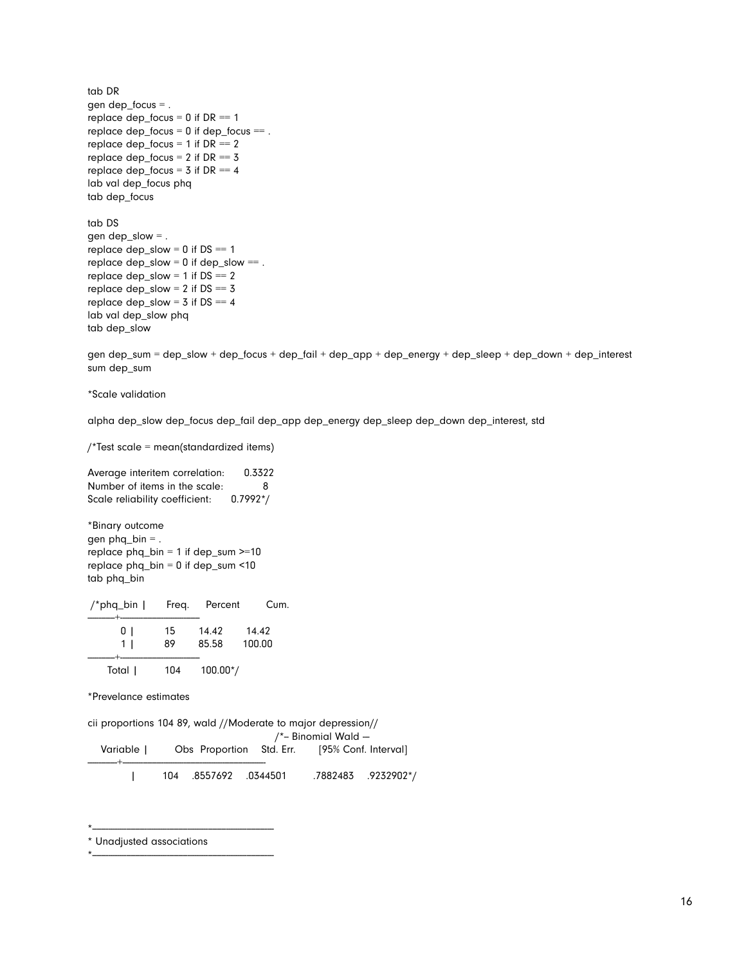tab DR gen dep\_focus = . replace dep\_focus =  $0$  if DR ==  $1$ replace dep\_focus = 0 if dep\_focus == . replace dep\_focus =  $1$  if DR =  $2$ replace dep\_focus =  $2$  if DR =  $3$ replace dep\_focus =  $3$  if DR ==  $4$ lab val dep\_focus phq tab dep\_focus tab DS gen dep\_slow  $=$  . replace  $dep\_slow = 0$  if  $DS == 1$ replace  $dep\_slow = 0$  if  $dep\_slow ==$ . replace dep\_slow =  $1$  if  $DS == 2$ replace dep\_slow =  $2$  if  $DS == 3$ replace dep\_slow =  $3$  if DS =  $4$ lab val dep\_slow phq tab dep\_slow

gen dep\_sum = dep\_slow + dep\_focus + dep\_fail + dep\_app + dep\_energy + dep\_sleep + dep\_down + dep\_interest sum dep\_sum

\*Scale validation

alpha dep\_slow dep\_focus dep\_fail dep\_app dep\_energy dep\_sleep dep\_down dep\_interest, std

/\*Test scale = mean(standardized items)

Average interitem correlation: 0.3322 Number of items in the scale: 8 Scale reliability coefficient: 0.7992\*/

\*Binary outcome gen  $phq_b$ in = . replace  $phq\_bin = 1$  if dep\_sum  $>=10$ replace  $phq_b$  = 0 if dep\_sum <10 tab phq\_bin

| /*phq_bin $\vert$ | Freq.    | Percent        | Cum.            |
|-------------------|----------|----------------|-----------------|
| ÜΙ<br>1 I         | 15<br>89 | 14.42<br>85.58 | 14.42<br>100.00 |
| Total             | 104      | $100.00*/$     |                 |

\*Prevelance estimates

|            | cii proportions 104 89, wald //Moderate to major depression// |                     |                                               |                     |                    |  |
|------------|---------------------------------------------------------------|---------------------|-----------------------------------------------|---------------------|--------------------|--|
|            |                                                               |                     |                                               | /*- Binomial Wald - |                    |  |
| Variable I |                                                               |                     | Obs Proportion Std. Err. [95% Conf. Interval] |                     |                    |  |
|            |                                                               | 104 8557692 0344501 |                                               |                     | .7882483.0232902*/ |  |

\* Unadjusted associations

\*--------------------------------------------------------------------------------

\*--------------------------------------------------------------------------------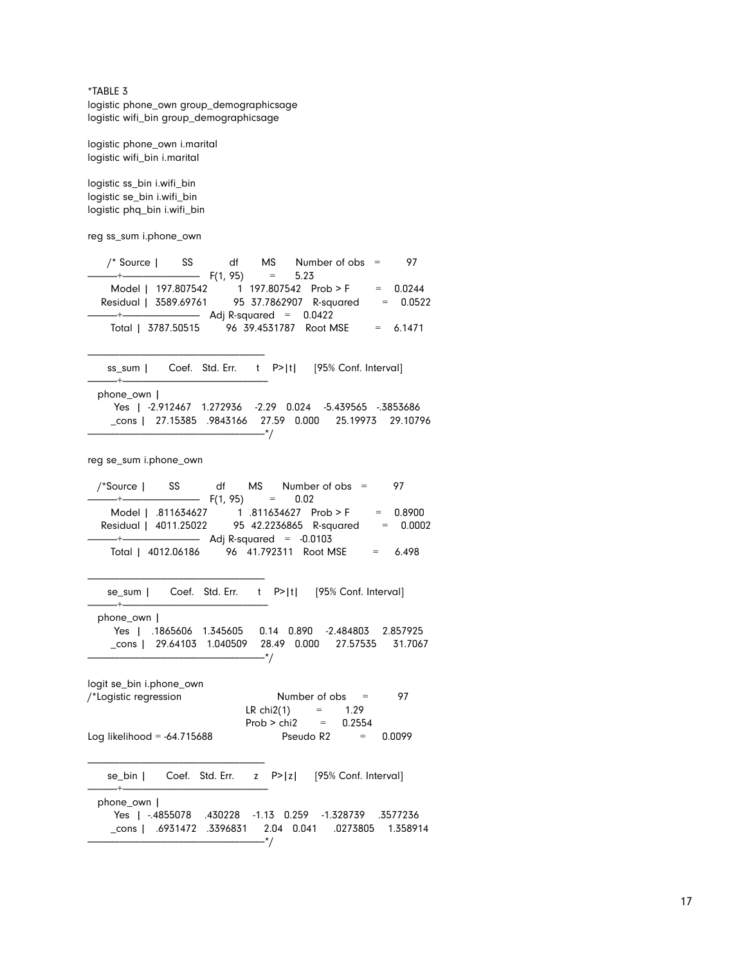\*TABLE 3 logistic phone\_own group\_demographicsage logistic wifi\_bin group\_demographicsage

logistic phone\_own i.marital logistic wifi\_bin i.marital

logistic ss\_bin i.wifi\_bin logistic se\_bin i.wifi\_bin logistic phq\_bin i.wifi\_bin

reg ss\_sum i.phone\_own

| /* Source   SS                                | df | MS —                     | Number of $obs =$ | 97         |
|-----------------------------------------------|----|--------------------------|-------------------|------------|
| $---+$ F(1, 95)                               |    | $= 5.23$                 |                   |            |
| Model   197.807542 1 197.807542 Prob > F      |    |                          |                   | $= 0.0244$ |
| Residual   3589.69761 95 37.7862907 R-squared |    |                          |                   | $= 0.0522$ |
|                                               |    | Adj R-squared = $0.0422$ |                   |            |
| Total   3787.50515 96 39.4531787 Root MSE     |    |                          |                   | $= 6.1471$ |

ss\_sum | Coef. Std. Err. t P>|t| [95% Conf. Interval]

-------------+--------------------------------------------------------------- phone\_own |

|  | Yes   -2.912467 1.272936 -2.29 0.024 -5.439565 -.3853686 |  |  |                                                        |
|--|----------------------------------------------------------|--|--|--------------------------------------------------------|
|  |                                                          |  |  | cons l 27.15385 .9843166 27.59 0.000 25.19973 29.10796 |
|  |                                                          |  |  |                                                        |

reg se\_sum i.phone\_own

------------------------------------------------------------------------------

------------------------------------------------------------------------------

------------------------------------------------------------------------------

|                 | /*Source   SS df MS Number of obs =           |          |  | 97         |
|-----------------|-----------------------------------------------|----------|--|------------|
| $--++$ F(1, 95) |                                               | $= 0.02$ |  |            |
|                 |                                               |          |  | $= 0.8900$ |
|                 | Residual   4011.25022 95 42.2236865 R-squared |          |  | $= 0.0002$ |
|                 |                                               |          |  |            |
|                 | Total   4012.06186 96 41.792311 Root MSE      |          |  | 6.498      |
|                 |                                               |          |  |            |

se\_sum | Coef. Std. Err. t P>|t| [95% Conf. Interval]

-------------+--------------------------------------------------------------- phone\_own | Yes | .1865606 1.345605 0.14 0.890 -2.484803 2.857925 \_cons | 29.64103 1.040509 28.49 0.000 27.57535 31.7067 ------------------------------------------------------------------------------\*/

| logit se_bin i.phone_own      |                   |                       |              |        |
|-------------------------------|-------------------|-----------------------|--------------|--------|
| /*Logistic regression         | Number of $obs =$ |                       |              | 97     |
|                               | LR $chi2(1)$      | $=$                   | 1.29         |        |
|                               | $Prob > chi2 =$   |                       | 0.2554       |        |
| Log likelihood = $-64.715688$ |                   | Pseudo R <sub>2</sub> | $\alpha = 1$ | 0.0099 |

|  |  | se_bin   Coef. Std. Err. z P> z  [95% Conf. Interval] |
|--|--|-------------------------------------------------------|
|  |  |                                                       |

 phone\_own | Yes | -.4855078 .430228 -1.13 0.259 -1.328739 .3577236 \_cons | .6931472 .3396831 2.04 0.041 .0273805 1.358914 ------------------------------------------------------------------------------\*/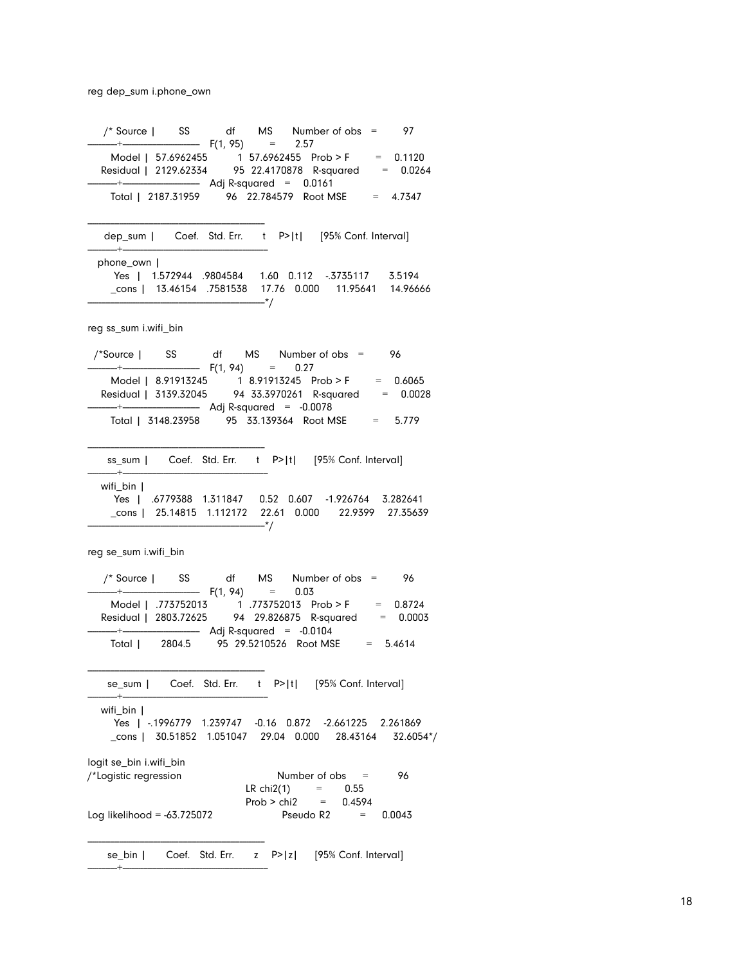reg dep\_sum i.phone\_own

 /\* Source | SS df MS Number of obs = 97  $-+$  F(1, 95) = 2.57 Model | 57.6962455 1 57.6962455 Prob > F = 0.1120 Residual | 2129.62334 95 22.4170878 R-squared = 0.0264 -------------+---------------------------------- Adj R-squared = 0.0161 Total | 2187.31959 96 22.784579 Root MSE = 4.7347 ----------------------------------------------------------------------------- dep\_sum | Coef. Std. Err. t P>|t| [95% Conf. Interval] -------------+--------------------------------------------------------------- phone\_own | Yes | 1.572944 .9804584 1.60 0.112 -.3735117 3.5194 \_cons | 13.46154 .7581538 17.76 0.000 11.95641 14.96666 ------------------------------------------------------------------------------\*/ reg ss\_sum i.wifi\_bin /\*Source | SS df MS Number of obs = 96  $-+-$  F(1, 94) = 0.27 Model | 8.91913245 1 8.91913245 Prob > F = 0.6065 Residual | 3139.32045 94 33.3970261 R-squared = 0.0028 -------------+---------------------------------- Adj R-squared = -0.0078 Total | 3148.23958 95 33.139364 Root MSE = 5.779 ----------------------------------------------------------------------------- ss\_sum | Coef. Std. Err. t P>|t| [95% Conf. Interval] -------------+--------------------------------------------------------------- wifi\_bin | Yes | .6779388 1.311847 0.52 0.607 -1.926764 3.282641 \_cons | 25.14815 1.112172 22.61 0.000 22.9399 27.35639 ------------------------------------------------------------------------------\*/ reg se\_sum i.wifi\_bin /\* Source | SS df MS Number of obs = 96 -------------+---------------------------------- F(1, 94) = 0.03 Model | .773752013 1 .773752013 Prob > F = 0.8724 Residual | 2803.72625 94 29.826875 R-squared = 0.0003 -------------+---------------------------------- Adj R-squared = -0.0104 Total | 2804.5 95 29.5210526 Root MSE = 5.4614 ----------------------------------------------------------------------------- se\_sum | Coef. Std. Err. t P>|t| [95% Conf. Interval] -------------+--------------------------------------------------------------- wifi\_bin | Yes | -.1996779 1.239747 -0.16 0.872 -2.661225 2.261869 \_cons | 30.51852 1.051047 29.04 0.000 28.43164 32.6054\*/ logit se\_bin i.wifi\_bin /\*Logistic regression Number of obs = 96 LR chi2(1)  $=$  0.55  $Prob > chi2 = 0.4594$ Log likelihood = -63.725072 Pseudo R2 = 0.0043 ----------------------------------------------------------------------------- se\_bin | Coef. Std. Err. z P>|z| [95% Conf. Interval] -------------+----------------------------------------------------------------